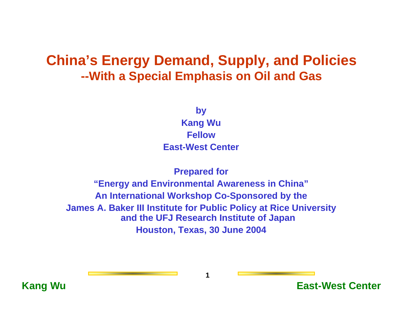# **China's Energy Demand, Supply, and Policies --With a Special Emphasis on Oil and Gas**

**by**

**Kang Wu FellowEast-West Center**

### **Prepared for "Energy and Environmental Awareness in China" An International Workshop Co-Sponsored by the James A. Baker III Institute for Public Policy at Rice University and the UFJ Research Institute of Japan Houston, Texas, 30 June 2004**



**1**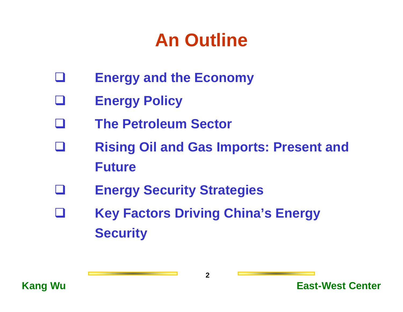# **An Outline**

- $\Box$ **Energy and the Economy**
- Ш **Energy Policy**
- II **The Petroleum Sector**
- L **Rising Oil and Gas Imports: Present and Future**
- $\sim$ **Energy Security Strategies**
- H **Key Factors Driving China's Energy Security**

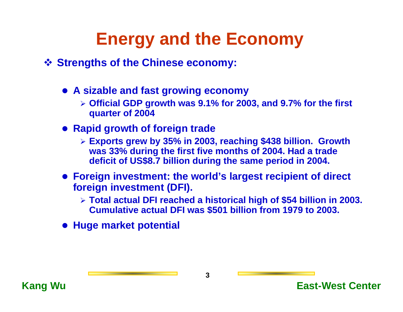# **Energy and the Economy**

- **Strengths of the Chinese economy:**
	- z **A sizable and fast growing economy**
		- ¾ **Official GDP growth was 9.1% for 2003, and 9.7% for the first quarter of 2004**
	- **Rapid growth of foreign trade** 
		- ¾ **Exports grew by 35% in 2003, reaching \$438 billion. Growth was 33% during the first five months of 2004. Had a trade deficit of US\$8.7 billion during the same period in 2004.**
	- **Foreign investment: the world's largest recipient of direct foreign investment (DFI).**
		- ¾ **Total actual DFI reached a historical high of \$54 billion in 2003. Cumulative actual DFI was \$501 billion from 1979 to 2003.**
	- **Huge market potential**

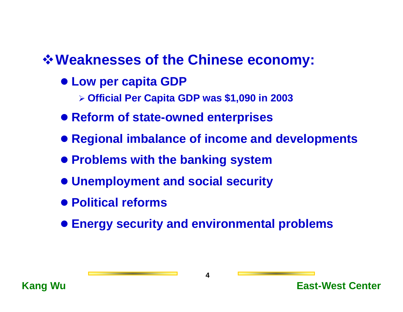# **Weaknesses of the Chinese economy:**

- $\bullet$  **Low per capita GDP** 
	- ¾ **Official Per Capita GDP was \$1,090 in 2003**
- **Reform of state-owned enterprises**
- **Regional imbalance of income and developments**
- **Problems with the banking system**
- z **Unemployment and social security**
- **Political reforms**
- $\bullet$  **Energy security and environmental problems**

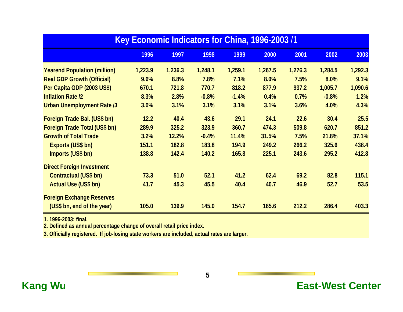| Key Economic Indicators for China, 1996-2003/1 |         |         |         |         |         |         |         |         |
|------------------------------------------------|---------|---------|---------|---------|---------|---------|---------|---------|
|                                                | 1996    | 1997    | 1998    | 1999    | 2000    | 2001    | 2002    | 2003    |
| <b>Yearend Population (million)</b>            | 1,223.9 | 1,236.3 | 1,248.1 | 1,259.1 | 1,267.5 | 1,276.3 | 1,284.5 | 1,292.3 |
| <b>Real GDP Growth (Official)</b>              | 9.6%    | 8.8%    | 7.8%    | 7.1%    | 8.0%    | 7.5%    | 8.0%    | 9.1%    |
| Per Capita GDP (2003 US\$)                     | 670.1   | 721.8   | 770.7   | 818.2   | 877.9   | 937.2   | 1,005.7 | 1,090.6 |
| <b>Inflation Rate /2</b>                       | 8.3%    | 2.8%    | $-0.8%$ | $-1.4%$ | 0.4%    | 0.7%    | $-0.8%$ | 1.2%    |
| <b>Urban Unemployment Rate /3</b>              | 3.0%    | 3.1%    | 3.1%    | 3.1%    | 3.1%    | 3.6%    | 4.0%    | 4.3%    |
| Foreign Trade Bal. (US\$ bn)                   | 12.2    | 40.4    | 43.6    | 29.1    | 24.1    | 22.6    | 30.4    | 25.5    |
| Foreign Trade Total (US\$ bn)                  | 289.9   | 325.2   | 323.9   | 360.7   | 474.3   | 509.8   | 620.7   | 851.2   |
| <b>Growth of Total Trade</b>                   | 3.2%    | 12.2%   | $-0.4%$ | 11.4%   | 31.5%   | 7.5%    | 21.8%   | 37.1%   |
| Exports (US\$ bn)                              | 151.1   | 182.8   | 183.8   | 194.9   | 249.2   | 266.2   | 325.6   | 438.4   |
| Imports (US\$ bn)                              | 138.8   | 142.4   | 140.2   | 165.8   | 225.1   | 243.6   | 295.2   | 412.8   |
| <b>Direct Foreign Investment</b>               |         |         |         |         |         |         |         |         |
| Contractual (US\$ bn)                          | 73.3    | 51.0    | 52.1    | 41.2    | 62.4    | 69.2    | 82.8    | 115.1   |
| Actual Use (US\$ bn)                           | 41.7    | 45.3    | 45.5    | 40.4    | 40.7    | 46.9    | 52.7    | 53.5    |
| <b>Foreign Exchange Reserves</b>               |         |         |         |         |         |         |         |         |
| (US\$ bn, end of the year)                     | 105.0   | 139.9   | 145.0   | 154.7   | 165.6   | 212.2   | 286.4   | 403.3   |

**1. 1996-2003: final.**

**2. Defined as annual percentage change of overall retail price index.**

**3. Officially registered. If job-losing state workers are included, actual rates are larger.**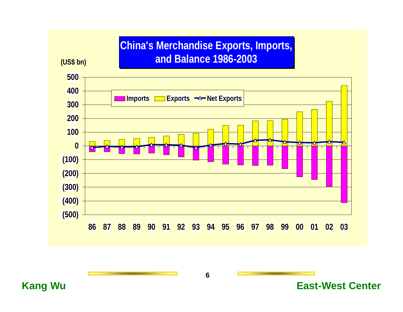## **China's Merchandise Exports, Imports, and Bal ance 1986-2003**

**(US\$ bn)**

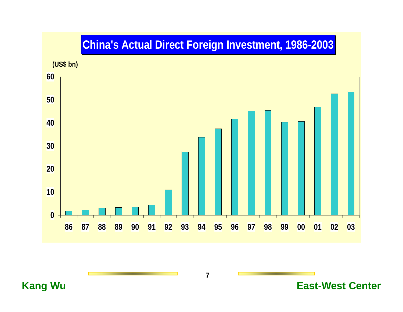## **China's Actual Direct Foreign Investment, 1986-2003**

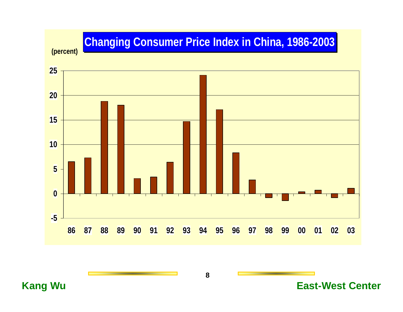# **Changing Consumer Price Index in China, 1986-2003**

**(percent)**



**8**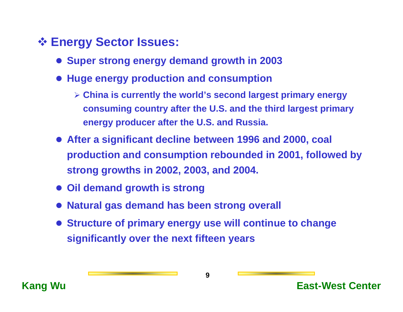# **Energy Sector Issues:**

- **Super strong energy demand growth in 2003**
- **Huge energy production and consumption** 
	- ¾ **China is currently the world's second largest primary energy consuming country after the U.S. and the third largest primary energy producer after the U.S. and Russia.**
- **After a significant decline between 1996 and 2000, coal production and consumption rebounded in 2001, followed by strong growths in 2002, 2003, and 2004.**
- **Oil demand growth is strong**
- $\bullet$ **Natural gas demand has been strong overall**
- **Structure of primary energy use will continue to change significantly over the next fifteen years**

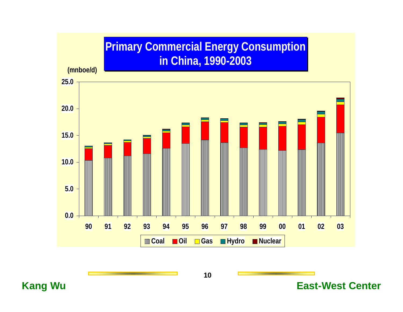## **Primary Commercial Energy Consumption in China, 1990-2003**

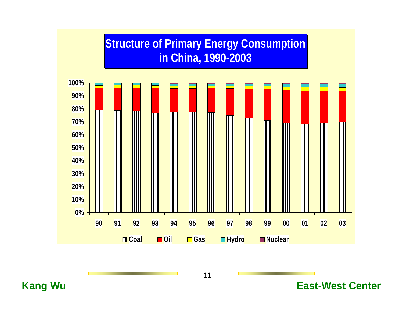## **Structure of Primary Energy Consumption in China, 1990-2003**

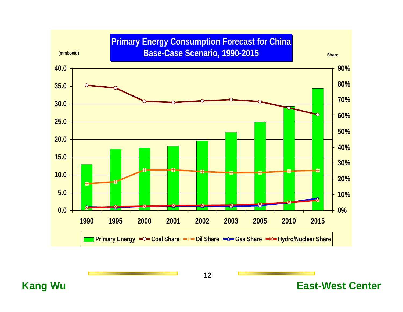### **Primary Energy Consumption Forecast for China Base-Case Scenario, 1990-2015 (mmboe/d) Share**

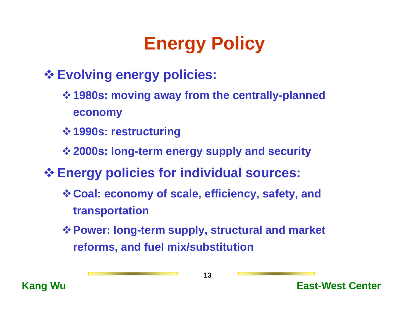# **Energy Policy**

**Evolving energy policies:**

- **1980s: moving away from the centrally-planned economy**
- **1990s: restructuring**
- **2000s: long-term energy supply and security**
- **Energy policies for individual sources:**
	- **Coal: economy of scale, efficiency, safety, and transportation**
	- **Power: long-term supply, structural and market reforms, and fuel mix/substitution**

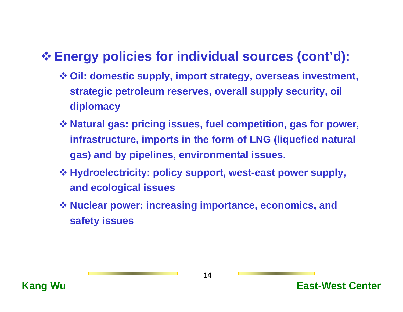# **Energy policies for individual sources (cont'd):**

- **Oil: domestic supply, import strategy, overseas investment, strategic petroleum reserves, overall supply security, oil diplomacy**
- **Natural gas: pricing issues, fuel competition, gas for power, infrastructure, imports in the form of LNG (liquefied natural gas) and by pipelines, environmental issues.**
- **Hydroelectricity: policy support, west-east power supply, and ecological issues**
- **Nuclear power: increasing importance, economics, and safety issues**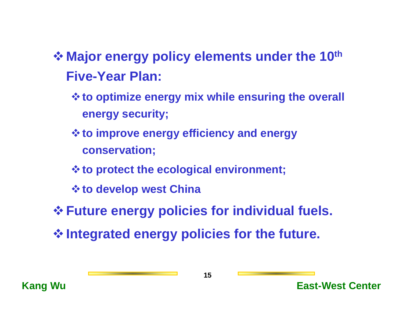- $\triangle$  **Major energy policy elements under the 10<sup>th</sup> Five-Year Plan:**
	- **to optimize energy mix while ensuring the overall energy security;**
	- **to improve energy efficiency and energy conservation;**
	- **to protect the ecological environment;**
	- *<u><b>*  $\diamond$  to develop west China</u>
- **Future energy policies for individual fuels.**
- **Integrated energy policies for the future.**

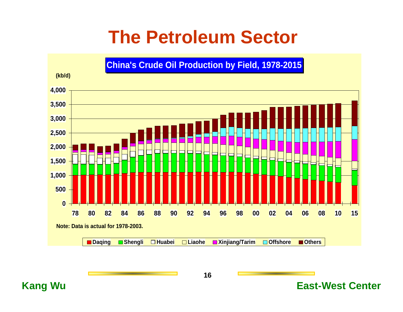# **The Petroleum Sector**

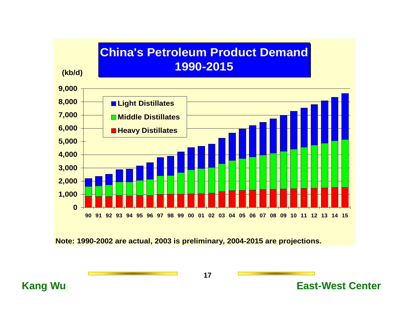

**Note: 1990-2002 are actu al, 2003 i s prelimina ry, 2004-2015 are proje ctions.**

**17**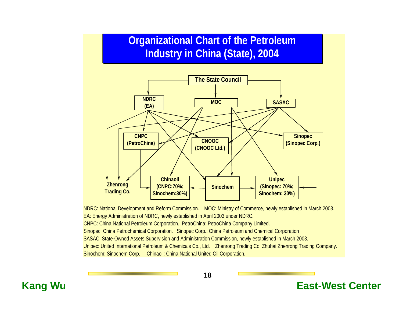## **Organizational Chart of the Petroleum Industry in China (State), 2004**

2003



NDRC: National Development and Reform Commission. MOC: Ministry of Commerce, newly established in March 2003. EA: Energy Administration of NDRC, newly established in April 2003 under NDRC. CNPC: China National Petroleum Corporation. PetroChina: PetroChina Company Limited. Sinopec: China Petrochemical Corporation. Sinopec Corp.: China Petroleum and Chemical Corporation SASAC: State-Owned Assets Supervision and Administration Commission, newly established in March 2003. Unipec: United International Petroleum & Chemicals Co., Ltd. Zhenrong Trading Co: Zhuhai Zhenrong Trading Company. Sinochem: Sinochem Corp. Chinaoil: China National United Oil Corporation.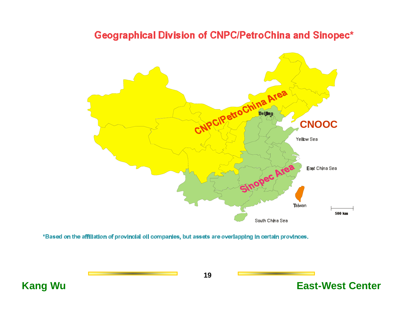### **Geographical Division of CNPC/PetroChina and Sinopec\***



\*Based on the affiliation of provincial oil companies, but assets are overlapping in certain provinces.

**19**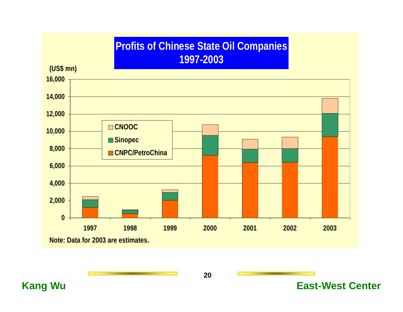## **Profits of Chinese State Oil Companies 1997-2003**

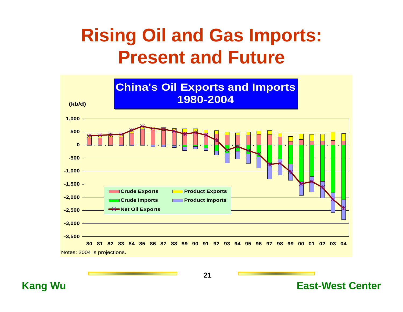# **Rising Oil and Gas Imports: Present and Future**



**21**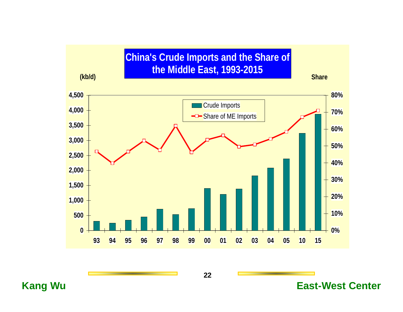![](_page_21_Figure_0.jpeg)

**22**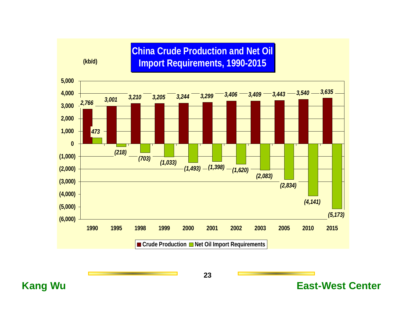### **China Crude Production and Net Oil Import Requirements, 1990-2015**

**(kb/d)**

![](_page_22_Figure_2.jpeg)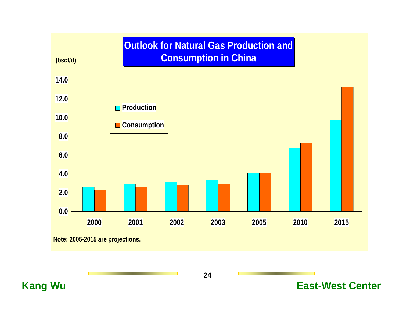### **Outlook for Natural Gas Production and Consumption in China**

**0.02.0 4.06.0 8.0 10.0 12.0 14.0 2000 2001 2002 2003 2005 2010 2015 Production Consumption** 

**Note: 2005-2015 are projections.**

**(bscf/d)**

**24**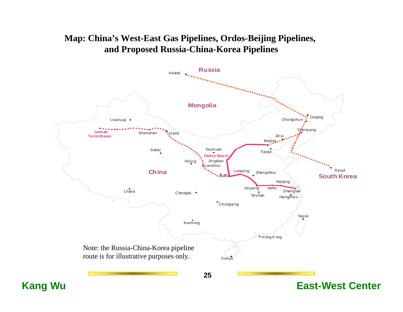### **Map: China's West-East Gas Pipelines, Ordos-Beijing Pipelines, and Proposed Russia-China-Korea Pipelines**

![](_page_24_Figure_1.jpeg)

**25**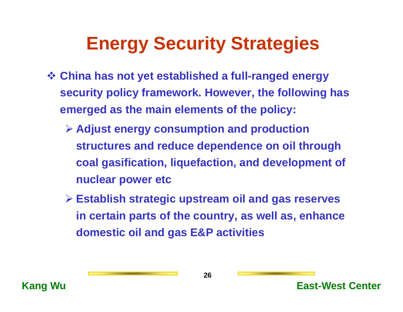# **Energy Security Strategies**

- **China has not yet established a full-ranged energy security policy framework. However, the following has emerged as the main elements of the policy:**
	- ¾ **Adjust energy consumption and production structures and reduce dependence on oil through coal gasification, liquefaction, and development of nuclear power etc**
	- ¾ **Establish strategic upstream oil and gas reserves in certain parts of the country, as well as, enhance domestic oil and gas E&P activities**

![](_page_25_Picture_4.jpeg)

![](_page_25_Picture_6.jpeg)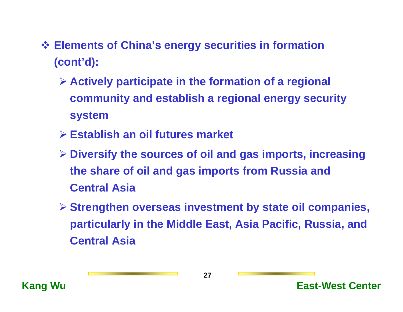- **Elements of China's energy securities in formation (cont'd):**
	- ¾ **Actively participate in the formation of a regional community and establish a regional energy security system**
	- ¾ **Establish an oil futures market**
	- ¾ **Diversify the sources of oil and gas imports, increasing the share of oil and gas imports from Russia and Central Asia**
	- ¾ **Strengthen overseas investment by state oil companies, particularly in the Middle East, Asia Pacific, Russia, and Central Asia**

![](_page_26_Picture_5.jpeg)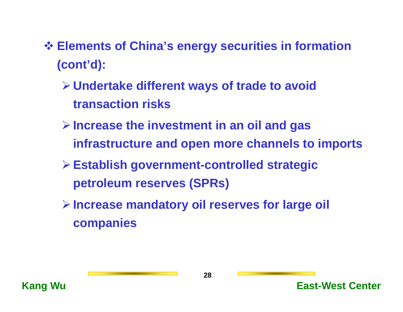- **Elements of China's energy securities in formation (cont'd):**
	- ¾**Undertake different ways of trade to avoid transaction risks**
	- ¾**Increase the investment in an oil and gas infrastructure and open more channels to imports**
	- ¾**Establish government-controlled strategic petroleum reserves (SPRs)**
	- ¾**Increase mandatory oil reserves for large oil companies**

![](_page_27_Picture_5.jpeg)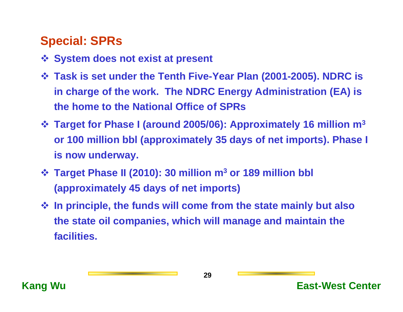## **Special: SPRs**

- **System does not exist at present**
- **Task is set under the Tenth Five-Year Plan (2001-2005). NDRC is in charge of the work. The NDRC Energy Administration (EA) is the home to the National Office of SPRs**
- **Target for Phase I (around 2005/06): Approximately 16 million m3 or 100 million bbl (approximately 35 days of net imports). Phase I is now underway.**
- **Target Phase II (2010): 30 million m3 or 189 million bbl (approximately 45 days of net imports)**
- **In principle, the funds will come from the state mainly but also the state oil companies, which will manage and maintain the facilities.**

![](_page_28_Picture_6.jpeg)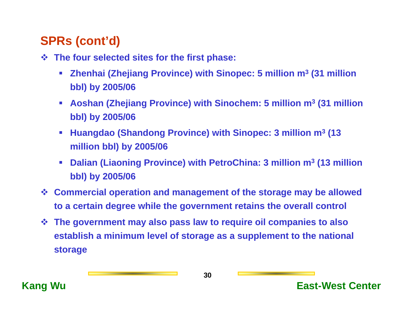# **SPRs (cont'd)**

- **The four selected sites for the first phase:**
	- $\mathcal{L}_{\mathcal{A}}$  **Zhenhai (Zhejiang Province) with Sinopec: 5 million m3 (31 million bbl) by 2005/06**
	- $\mathcal{L}_{\mathcal{A}}$  **Aoshan (Zhejiang Province) with Sinochem: 5 million m3 (31 million bbl) by 2005/06**
	- $\mathcal{L}_{\mathcal{A}}$  **Huangdao (Shandong Province) with Sinopec: 3 million m3 (13 million bbl) by 2005/06**
	- $\mathcal{L}_{\mathcal{A}}$  **Dalian (Liaoning Province) with PetroChina: 3 million m3 (13 million bbl) by 2005/06**
- **Commercial operation and management of the storage may be allowed to a certain degree while the government retains the overall control**
- **The government may also pass law to require oil companies to also establish a minimum level of storage as a supplement to the national storage**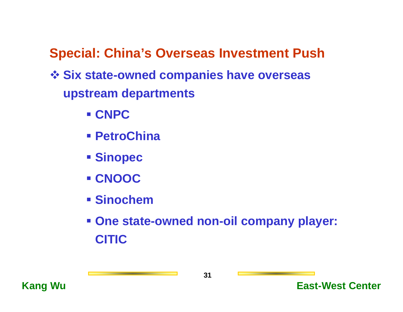**Special: China's Overseas Investment Push**

- **Six state-owned companies have overseas upstream departments**
	- **CNPC**
	- **PetroChina**
	- **Sinopec**
	- **CNOOC**
	- **Sinochem**
	- **One state-owned non-oil company player: CITIC**

![](_page_30_Picture_8.jpeg)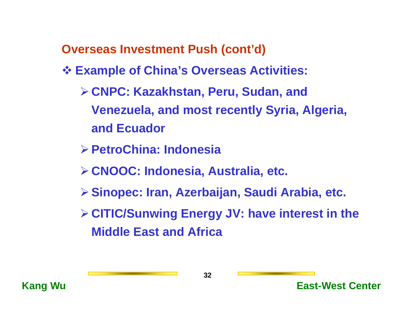**Overseas Investment Push (cont'd)**

- **Example of China's Overseas Activities:**
	- ¾**CNPC: Kazakhstan, Peru, Sudan, and Venezuela, and most recently Syria, Algeria, and Ecuador**
	- ¾**PetroChina: Indonesia**
	- ¾**CNOOC: Indonesia, Australia, etc.**
	- ¾**Sinopec: Iran, Azerbaijan, Saudi Arabia, etc.**
	- ¾**CITIC/Sunwing Energy JV: have interest in the Middle East and Africa**

![](_page_31_Picture_7.jpeg)